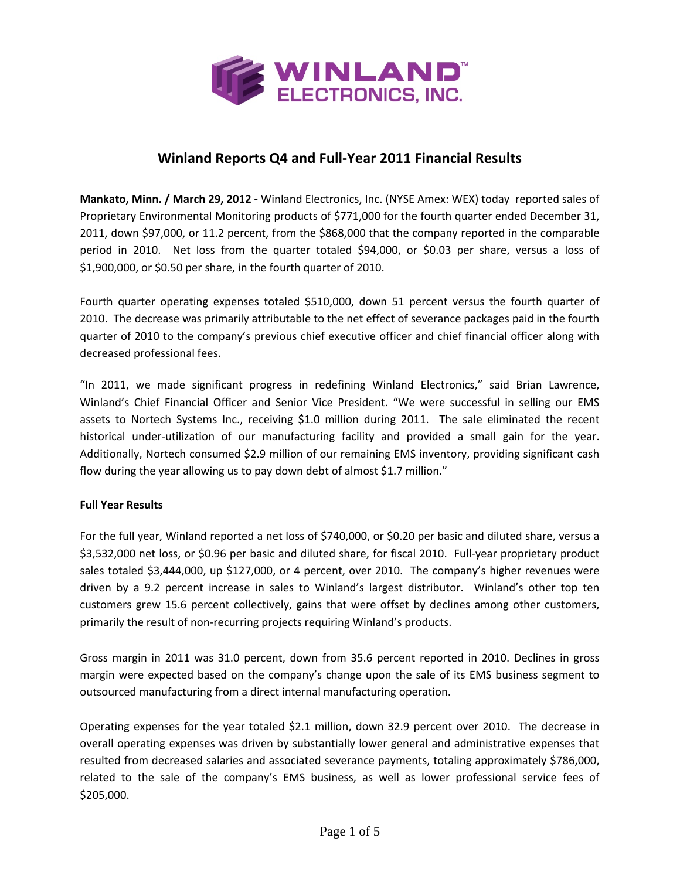

# **Winland Reports Q4 and Full‐Year 2011 Financial Results**

**Mankato, Minn. / March 29, 2012 ‐** Winland Electronics, Inc. (NYSE Amex: WEX) today reported sales of Proprietary Environmental Monitoring products of \$771,000 for the fourth quarter ended December 31, 2011, down \$97,000, or 11.2 percent, from the \$868,000 that the company reported in the comparable period in 2010. Net loss from the quarter totaled \$94,000, or \$0.03 per share, versus a loss of \$1,900,000, or \$0.50 per share, in the fourth quarter of 2010.

Fourth quarter operating expenses totaled \$510,000, down 51 percent versus the fourth quarter of 2010. The decrease was primarily attributable to the net effect of severance packages paid in the fourth quarter of 2010 to the company's previous chief executive officer and chief financial officer along with decreased professional fees.

"In 2011, we made significant progress in redefining Winland Electronics," said Brian Lawrence, Winland's Chief Financial Officer and Senior Vice President. "We were successful in selling our EMS assets to Nortech Systems Inc., receiving \$1.0 million during 2011. The sale eliminated the recent historical under-utilization of our manufacturing facility and provided a small gain for the year. Additionally, Nortech consumed \$2.9 million of our remaining EMS inventory, providing significant cash flow during the year allowing us to pay down debt of almost \$1.7 million."

#### **Full Year Results**

For the full year, Winland reported a net loss of \$740,000, or \$0.20 per basic and diluted share, versus a \$3,532,000 net loss, or \$0.96 per basic and diluted share, for fiscal 2010. Full‐year proprietary product sales totaled \$3,444,000, up \$127,000, or 4 percent, over 2010. The company's higher revenues were driven by a 9.2 percent increase in sales to Winland's largest distributor. Winland's other top ten customers grew 15.6 percent collectively, gains that were offset by declines among other customers, primarily the result of non‐recurring projects requiring Winland's products.

Gross margin in 2011 was 31.0 percent, down from 35.6 percent reported in 2010. Declines in gross margin were expected based on the company's change upon the sale of its EMS business segment to outsourced manufacturing from a direct internal manufacturing operation.

Operating expenses for the year totaled \$2.1 million, down 32.9 percent over 2010. The decrease in overall operating expenses was driven by substantially lower general and administrative expenses that resulted from decreased salaries and associated severance payments, totaling approximately \$786,000, related to the sale of the company's EMS business, as well as lower professional service fees of \$205,000.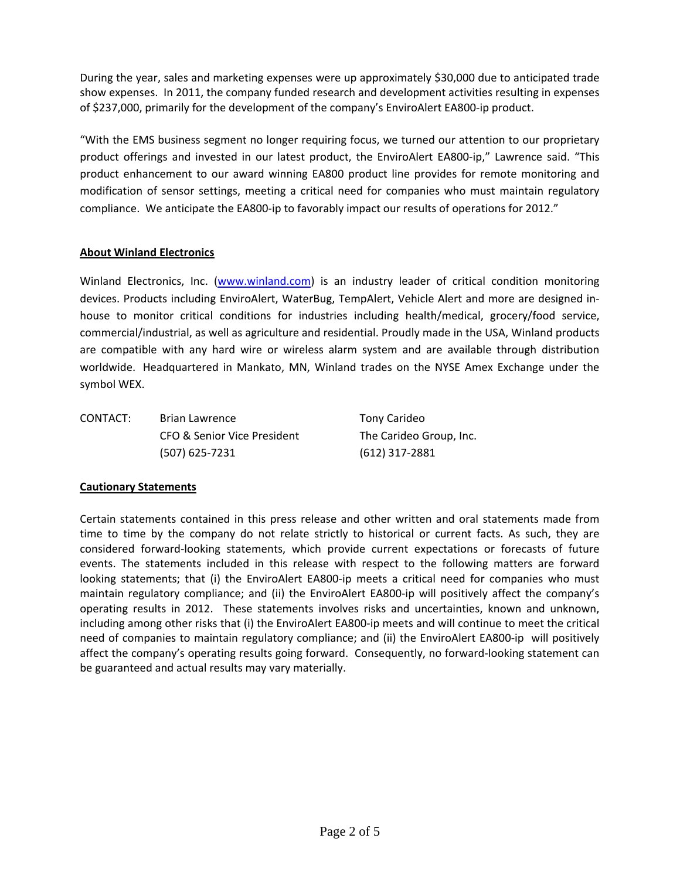During the year, sales and marketing expenses were up approximately \$30,000 due to anticipated trade show expenses. In 2011, the company funded research and development activities resulting in expenses of \$237,000, primarily for the development of the company's EnviroAlert EA800‐ip product.

"With the EMS business segment no longer requiring focus, we turned our attention to our proprietary product offerings and invested in our latest product, the EnviroAlert EA800‐ip," Lawrence said. "This product enhancement to our award winning EA800 product line provides for remote monitoring and modification of sensor settings, meeting a critical need for companies who must maintain regulatory compliance. We anticipate the EA800‐ip to favorably impact our results of operations for 2012."

## **About Winland Electronics**

Winland Electronics, Inc. (www.winland.com) is an industry leader of critical condition monitoring devices. Products including EnviroAlert, WaterBug, TempAlert, Vehicle Alert and more are designed in‐ house to monitor critical conditions for industries including health/medical, grocery/food service, commercial/industrial, as well as agriculture and residential. Proudly made in the USA, Winland products are compatible with any hard wire or wireless alarm system and are available through distribution worldwide. Headquartered in Mankato, MN, Winland trades on the NYSE Amex Exchange under the symbol WEX.

CONTACT: Brian Lawrence Tony Carideo CFO & Senior Vice President The Carideo Group, Inc. (507) 625‐7231 (612) 317‐2881

## **Cautionary Statements**

Certain statements contained in this press release and other written and oral statements made from time to time by the company do not relate strictly to historical or current facts. As such, they are considered forward‐looking statements, which provide current expectations or forecasts of future events. The statements included in this release with respect to the following matters are forward looking statements; that (i) the EnviroAlert EA800-ip meets a critical need for companies who must maintain regulatory compliance; and (ii) the EnviroAlert EA800‐ip will positively affect the company's operating results in 2012. These statements involves risks and uncertainties, known and unknown, including among other risks that (i) the EnviroAlert EA800‐ip meets and will continue to meet the critical need of companies to maintain regulatory compliance; and (ii) the EnviroAlert EA800‐ip will positively affect the company's operating results going forward. Consequently, no forward‐looking statement can be guaranteed and actual results may vary materially.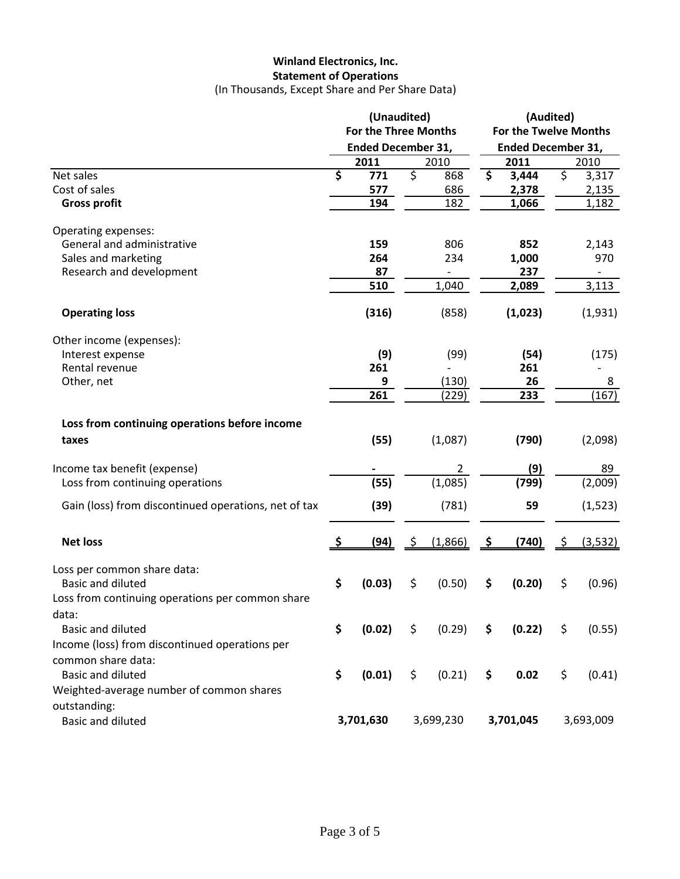# **Winland Electronics, Inc. Statement of Operations**

(In Thousands, Except Share and Per Share Data)

|                                                      | (Unaudited)<br><b>For the Three Months</b><br><b>Ended December 31,</b> |        |                        | (Audited)<br><b>For the Twelve Months</b><br><b>Ended December 31,</b> |                                 |         |                          |                          |
|------------------------------------------------------|-------------------------------------------------------------------------|--------|------------------------|------------------------------------------------------------------------|---------------------------------|---------|--------------------------|--------------------------|
|                                                      |                                                                         |        |                        |                                                                        |                                 |         |                          |                          |
|                                                      |                                                                         | 2011   |                        | 2010                                                                   |                                 | 2011    |                          | 2010                     |
| Net sales                                            | $\overline{\boldsymbol{\zeta}}$                                         | 771    | $\overline{\varsigma}$ | 868                                                                    | $\overline{\boldsymbol{\zeta}}$ | 3,444   | $\overline{\mathcal{S}}$ | 3,317                    |
| Cost of sales                                        |                                                                         | 577    |                        | 686                                                                    |                                 | 2,378   |                          | 2,135                    |
| <b>Gross profit</b>                                  |                                                                         | 194    |                        | 182                                                                    |                                 | 1,066   |                          | 1,182                    |
| Operating expenses:                                  |                                                                         |        |                        |                                                                        |                                 |         |                          |                          |
| General and administrative                           |                                                                         | 159    |                        | 806                                                                    |                                 | 852     |                          | 2,143                    |
| Sales and marketing                                  |                                                                         | 264    |                        | 234                                                                    |                                 | 1,000   |                          | 970                      |
| Research and development                             |                                                                         | 87     |                        |                                                                        |                                 | 237     |                          | $\overline{\phantom{a}}$ |
|                                                      |                                                                         | 510    |                        | 1,040                                                                  |                                 | 2,089   |                          | 3,113                    |
| <b>Operating loss</b>                                |                                                                         | (316)  |                        | (858)                                                                  |                                 | (1,023) |                          | (1,931)                  |
| Other income (expenses):                             |                                                                         |        |                        |                                                                        |                                 |         |                          |                          |
| Interest expense                                     |                                                                         | (9)    |                        | (99)                                                                   |                                 | (54)    |                          | (175)                    |
| Rental revenue                                       |                                                                         | 261    |                        |                                                                        |                                 | 261     |                          |                          |
| Other, net                                           |                                                                         | 9      |                        | (130)                                                                  |                                 | 26      |                          | 8                        |
|                                                      |                                                                         | 261    |                        | (229)                                                                  |                                 | 233     |                          | (167)                    |
| Loss from continuing operations before income        |                                                                         |        |                        |                                                                        |                                 |         |                          |                          |
| taxes                                                |                                                                         | (55)   |                        | (1,087)                                                                |                                 | (790)   |                          | (2,098)                  |
|                                                      |                                                                         |        |                        |                                                                        |                                 |         |                          |                          |
| Income tax benefit (expense)                         |                                                                         |        |                        | $\overline{2}$                                                         |                                 | (9)     |                          | 89                       |
| Loss from continuing operations                      |                                                                         | (55)   |                        | (1,085)                                                                |                                 | (799)   |                          | (2,009)                  |
| Gain (loss) from discontinued operations, net of tax |                                                                         | (39)   |                        | (781)                                                                  |                                 | 59      |                          | (1, 523)                 |
| <b>Net loss</b>                                      |                                                                         | (94)   |                        | (1,866)                                                                | S                               | (740)   |                          | (3, 532)                 |
| Loss per common share data:                          |                                                                         |        |                        |                                                                        |                                 |         |                          |                          |
| <b>Basic and diluted</b>                             | \$                                                                      | (0.03) | \$                     | (0.50)                                                                 | \$                              | (0.20)  | \$                       | (0.96)                   |
| Loss from continuing operations per common share     |                                                                         |        |                        |                                                                        |                                 |         |                          |                          |
| data:                                                |                                                                         |        |                        |                                                                        |                                 |         |                          |                          |
| <b>Basic and diluted</b>                             | \$                                                                      | (0.02) | \$                     | (0.29)                                                                 | \$                              | (0.22)  | \$                       | (0.55)                   |
| Income (loss) from discontinued operations per       |                                                                         |        |                        |                                                                        |                                 |         |                          |                          |
|                                                      |                                                                         |        |                        |                                                                        |                                 |         |                          |                          |
| common share data:                                   |                                                                         |        |                        |                                                                        |                                 |         |                          |                          |
| <b>Basic and diluted</b>                             | \$                                                                      | (0.01) | \$                     | (0.21)                                                                 | \$                              | 0.02    | \$                       | (0.41)                   |
| Weighted-average number of common shares             |                                                                         |        |                        |                                                                        |                                 |         |                          |                          |
| outstanding:                                         |                                                                         |        |                        |                                                                        |                                 |         |                          |                          |
| <b>Basic and diluted</b>                             | 3,701,630                                                               |        | 3,699,230              |                                                                        | 3,701,045                       |         | 3,693,009                |                          |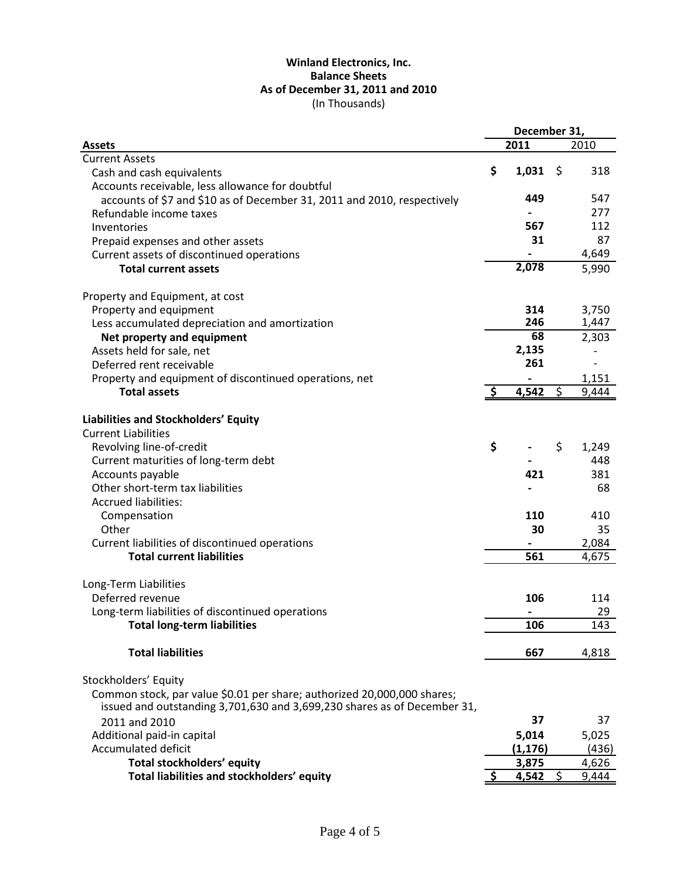#### (In Thousands) **Winland Electronics, Inc. Balance Sheets As of December 31, 2011 and 2010**

|                                                                                                                                                     |     | December 31, |         |              |
|-----------------------------------------------------------------------------------------------------------------------------------------------------|-----|--------------|---------|--------------|
| <b>Assets</b>                                                                                                                                       |     | 2011         |         | 2010         |
| <b>Current Assets</b>                                                                                                                               |     |              |         |              |
| Cash and cash equivalents                                                                                                                           | \$  | 1,031        | \$      | 318          |
| Accounts receivable, less allowance for doubtful                                                                                                    |     |              |         |              |
| accounts of \$7 and \$10 as of December 31, 2011 and 2010, respectively                                                                             |     | 449          |         | 547          |
| Refundable income taxes                                                                                                                             |     |              |         | 277          |
| Inventories                                                                                                                                         |     | 567          |         | 112          |
| Prepaid expenses and other assets                                                                                                                   |     | 31           |         | 87           |
| Current assets of discontinued operations                                                                                                           |     |              |         | 4,649        |
| <b>Total current assets</b>                                                                                                                         |     | 2,078        |         | 5,990        |
| Property and Equipment, at cost                                                                                                                     |     |              |         |              |
| Property and equipment                                                                                                                              |     | 314          |         | 3,750        |
| Less accumulated depreciation and amortization                                                                                                      |     | 246          |         | 1,447        |
| Net property and equipment                                                                                                                          |     | 68           |         | 2,303        |
| Assets held for sale, net                                                                                                                           |     | 2,135        |         |              |
| Deferred rent receivable                                                                                                                            |     | 261          |         |              |
| Property and equipment of discontinued operations, net                                                                                              |     |              |         | 1,151        |
| <b>Total assets</b>                                                                                                                                 | -\$ | 4,542        | \$      | 9,444        |
| Liabilities and Stockholders' Equity<br><b>Current Liabilities</b>                                                                                  |     |              |         |              |
| Revolving line-of-credit                                                                                                                            | \$  |              | \$      |              |
|                                                                                                                                                     |     |              |         | 1,249<br>448 |
| Current maturities of long-term debt                                                                                                                |     | 421          |         | 381          |
| Accounts payable<br>Other short-term tax liabilities                                                                                                |     |              |         | 68           |
| <b>Accrued liabilities:</b>                                                                                                                         |     |              |         |              |
|                                                                                                                                                     |     | 110          |         | 410          |
| Compensation<br>Other                                                                                                                               |     | 30           |         | 35           |
| Current liabilities of discontinued operations                                                                                                      |     |              |         | 2,084        |
| <b>Total current liabilities</b>                                                                                                                    |     | 561          |         | 4,675        |
|                                                                                                                                                     |     |              |         |              |
| Long-Term Liabilities                                                                                                                               |     |              |         |              |
| Deferred revenue                                                                                                                                    |     | 106          |         | 114          |
| Long-term liabilities of discontinued operations                                                                                                    |     |              |         | 29           |
| <b>Total long-term liabilities</b>                                                                                                                  |     | 106          |         | 143          |
| <b>Total liabilities</b>                                                                                                                            |     | 667          |         | 4,818        |
| Stockholders' Equity                                                                                                                                |     |              |         |              |
| Common stock, par value \$0.01 per share; authorized 20,000,000 shares;<br>issued and outstanding 3,701,630 and 3,699,230 shares as of December 31, |     |              |         |              |
| 2011 and 2010                                                                                                                                       |     | 37           |         | 37           |
| Additional paid-in capital                                                                                                                          |     | 5,014        |         | 5,025        |
| <b>Accumulated deficit</b>                                                                                                                          |     | (1, 176)     |         | (436)        |
| Total stockholders' equity                                                                                                                          |     | 3,875        |         | 4,626        |
| Total liabilities and stockholders' equity                                                                                                          |     | 4,542        | $\zeta$ | 9,444        |